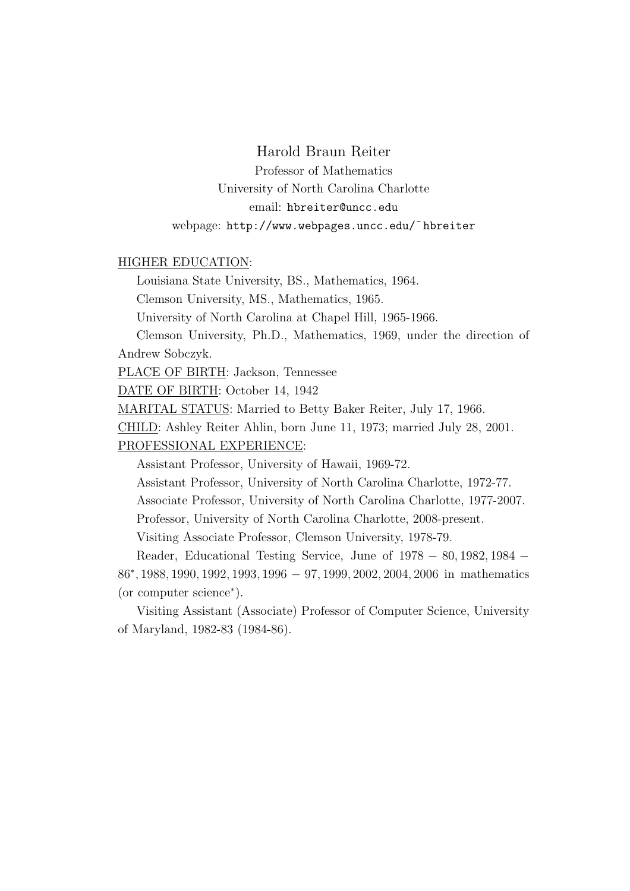# Harold Braun Reiter

Professor of Mathematics University of North Carolina Charlotte email: hbreiter@uncc.edu webpage: http://www.webpages.uncc.edu/˜hbreiter

## HIGHER EDUCATION:

Louisiana State University, BS., Mathematics, 1964.

Clemson University, MS., Mathematics, 1965.

University of North Carolina at Chapel Hill, 1965-1966.

Clemson University, Ph.D., Mathematics, 1969, under the direction of Andrew Sobczyk.

PLACE OF BIRTH: Jackson, Tennessee

DATE OF BIRTH: October 14, 1942

MARITAL STATUS: Married to Betty Baker Reiter, July 17, 1966.

CHILD: Ashley Reiter Ahlin, born June 11, 1973; married July 28, 2001.

PROFESSIONAL EXPERIENCE:

Assistant Professor, University of Hawaii, 1969-72.

Assistant Professor, University of North Carolina Charlotte, 1972-77.

Associate Professor, University of North Carolina Charlotte, 1977-2007.

Professor, University of North Carolina Charlotte, 2008-present.

Visiting Associate Professor, Clemson University, 1978-79.

Reader, Educational Testing Service, June of 1978 − 80, 1982, 1984 −

86<sup>∗</sup> , 1988, 1990, 1992, 1993, 1996 − 97, 1999, 2002, 2004, 2006 in mathematics (or computer science<sup>∗</sup> ).

Visiting Assistant (Associate) Professor of Computer Science, University of Maryland, 1982-83 (1984-86).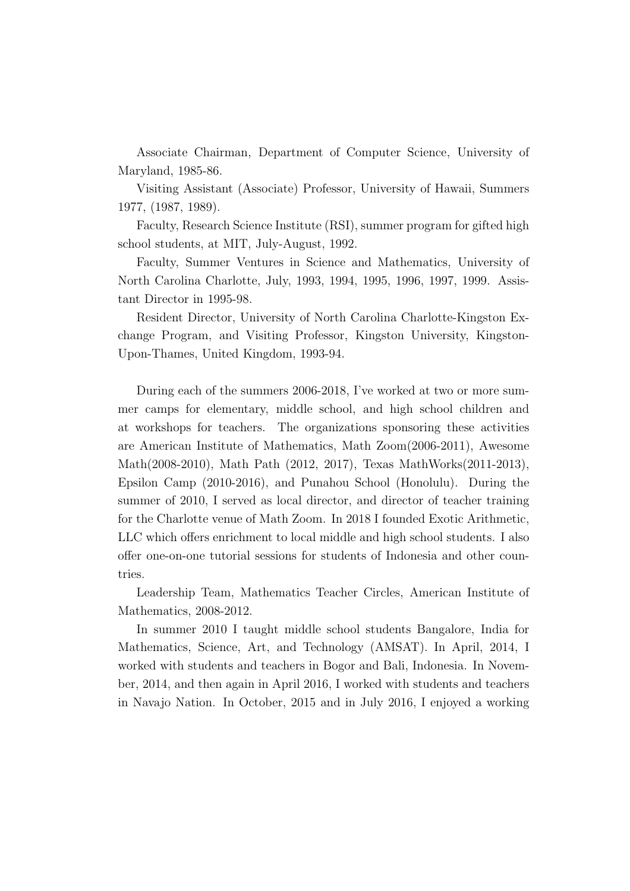Associate Chairman, Department of Computer Science, University of Maryland, 1985-86.

Visiting Assistant (Associate) Professor, University of Hawaii, Summers 1977, (1987, 1989).

Faculty, Research Science Institute (RSI), summer program for gifted high school students, at MIT, July-August, 1992.

Faculty, Summer Ventures in Science and Mathematics, University of North Carolina Charlotte, July, 1993, 1994, 1995, 1996, 1997, 1999. Assistant Director in 1995-98.

Resident Director, University of North Carolina Charlotte-Kingston Exchange Program, and Visiting Professor, Kingston University, Kingston-Upon-Thames, United Kingdom, 1993-94.

During each of the summers 2006-2018, I've worked at two or more summer camps for elementary, middle school, and high school children and at workshops for teachers. The organizations sponsoring these activities are American Institute of Mathematics, Math Zoom(2006-2011), Awesome Math(2008-2010), Math Path (2012, 2017), Texas MathWorks(2011-2013), Epsilon Camp (2010-2016), and Punahou School (Honolulu). During the summer of 2010, I served as local director, and director of teacher training for the Charlotte venue of Math Zoom. In 2018 I founded Exotic Arithmetic, LLC which offers enrichment to local middle and high school students. I also offer one-on-one tutorial sessions for students of Indonesia and other countries.

Leadership Team, Mathematics Teacher Circles, American Institute of Mathematics, 2008-2012.

In summer 2010 I taught middle school students Bangalore, India for Mathematics, Science, Art, and Technology (AMSAT). In April, 2014, I worked with students and teachers in Bogor and Bali, Indonesia. In November, 2014, and then again in April 2016, I worked with students and teachers in Navajo Nation. In October, 2015 and in July 2016, I enjoyed a working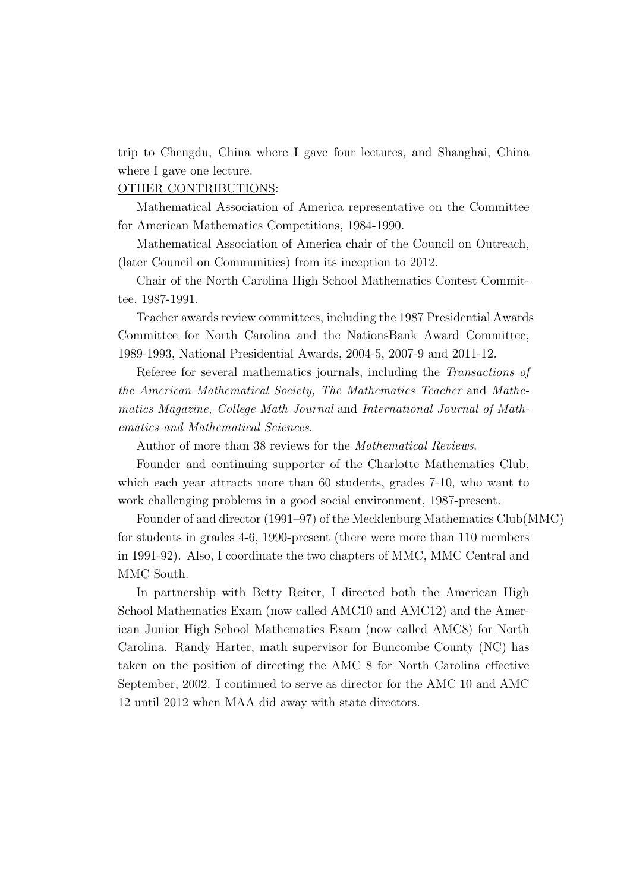trip to Chengdu, China where I gave four lectures, and Shanghai, China where I gave one lecture.

### OTHER CONTRIBUTIONS:

Mathematical Association of America representative on the Committee for American Mathematics Competitions, 1984-1990.

Mathematical Association of America chair of the Council on Outreach, (later Council on Communities) from its inception to 2012.

Chair of the North Carolina High School Mathematics Contest Committee, 1987-1991.

Teacher awards review committees, including the 1987 Presidential Awards Committee for North Carolina and the NationsBank Award Committee, 1989-1993, National Presidential Awards, 2004-5, 2007-9 and 2011-12.

Referee for several mathematics journals, including the Transactions of the American Mathematical Society, The Mathematics Teacher and Mathematics Magazine, College Math Journal and International Journal of Mathematics and Mathematical Sciences.

Author of more than 38 reviews for the Mathematical Reviews.

Founder and continuing supporter of the Charlotte Mathematics Club, which each year attracts more than 60 students, grades 7-10, who want to work challenging problems in a good social environment, 1987-present.

Founder of and director (1991–97) of the Mecklenburg Mathematics Club(MMC) for students in grades 4-6, 1990-present (there were more than 110 members in 1991-92). Also, I coordinate the two chapters of MMC, MMC Central and MMC South.

In partnership with Betty Reiter, I directed both the American High School Mathematics Exam (now called AMC10 and AMC12) and the American Junior High School Mathematics Exam (now called AMC8) for North Carolina. Randy Harter, math supervisor for Buncombe County (NC) has taken on the position of directing the AMC 8 for North Carolina effective September, 2002. I continued to serve as director for the AMC 10 and AMC 12 until 2012 when MAA did away with state directors.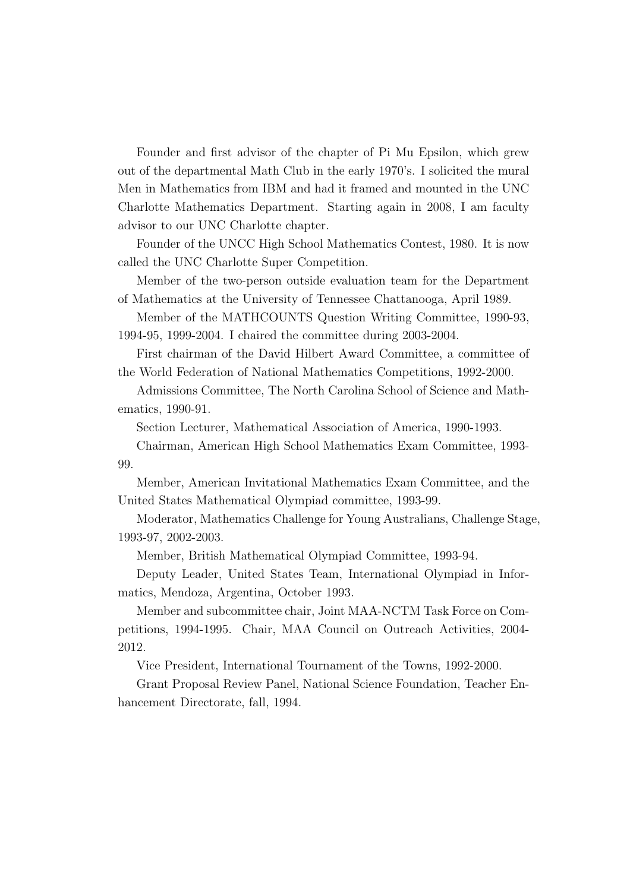Founder and first advisor of the chapter of Pi Mu Epsilon, which grew out of the departmental Math Club in the early 1970's. I solicited the mural Men in Mathematics from IBM and had it framed and mounted in the UNC Charlotte Mathematics Department. Starting again in 2008, I am faculty advisor to our UNC Charlotte chapter.

Founder of the UNCC High School Mathematics Contest, 1980. It is now called the UNC Charlotte Super Competition.

Member of the two-person outside evaluation team for the Department of Mathematics at the University of Tennessee Chattanooga, April 1989.

Member of the MATHCOUNTS Question Writing Committee, 1990-93, 1994-95, 1999-2004. I chaired the committee during 2003-2004.

First chairman of the David Hilbert Award Committee, a committee of the World Federation of National Mathematics Competitions, 1992-2000.

Admissions Committee, The North Carolina School of Science and Mathematics, 1990-91.

Section Lecturer, Mathematical Association of America, 1990-1993.

Chairman, American High School Mathematics Exam Committee, 1993- 99.

Member, American Invitational Mathematics Exam Committee, and the United States Mathematical Olympiad committee, 1993-99.

Moderator, Mathematics Challenge for Young Australians, Challenge Stage, 1993-97, 2002-2003.

Member, British Mathematical Olympiad Committee, 1993-94.

Deputy Leader, United States Team, International Olympiad in Informatics, Mendoza, Argentina, October 1993.

Member and subcommittee chair, Joint MAA-NCTM Task Force on Competitions, 1994-1995. Chair, MAA Council on Outreach Activities, 2004- 2012.

Vice President, International Tournament of the Towns, 1992-2000.

Grant Proposal Review Panel, National Science Foundation, Teacher Enhancement Directorate, fall, 1994.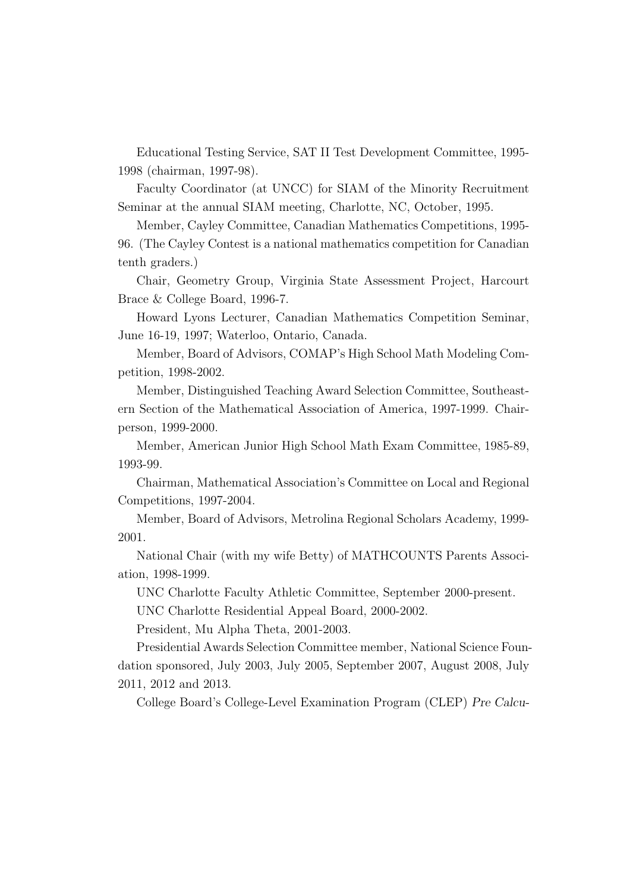Educational Testing Service, SAT II Test Development Committee, 1995- 1998 (chairman, 1997-98).

Faculty Coordinator (at UNCC) for SIAM of the Minority Recruitment Seminar at the annual SIAM meeting, Charlotte, NC, October, 1995.

Member, Cayley Committee, Canadian Mathematics Competitions, 1995- 96. (The Cayley Contest is a national mathematics competition for Canadian tenth graders.)

Chair, Geometry Group, Virginia State Assessment Project, Harcourt Brace & College Board, 1996-7.

Howard Lyons Lecturer, Canadian Mathematics Competition Seminar, June 16-19, 1997; Waterloo, Ontario, Canada.

Member, Board of Advisors, COMAP's High School Math Modeling Competition, 1998-2002.

Member, Distinguished Teaching Award Selection Committee, Southeastern Section of the Mathematical Association of America, 1997-1999. Chairperson, 1999-2000.

Member, American Junior High School Math Exam Committee, 1985-89, 1993-99.

Chairman, Mathematical Association's Committee on Local and Regional Competitions, 1997-2004.

Member, Board of Advisors, Metrolina Regional Scholars Academy, 1999- 2001.

National Chair (with my wife Betty) of MATHCOUNTS Parents Association, 1998-1999.

UNC Charlotte Faculty Athletic Committee, September 2000-present.

UNC Charlotte Residential Appeal Board, 2000-2002.

President, Mu Alpha Theta, 2001-2003.

Presidential Awards Selection Committee member, National Science Foundation sponsored, July 2003, July 2005, September 2007, August 2008, July 2011, 2012 and 2013.

College Board's College-Level Examination Program (CLEP) Pre Calcu-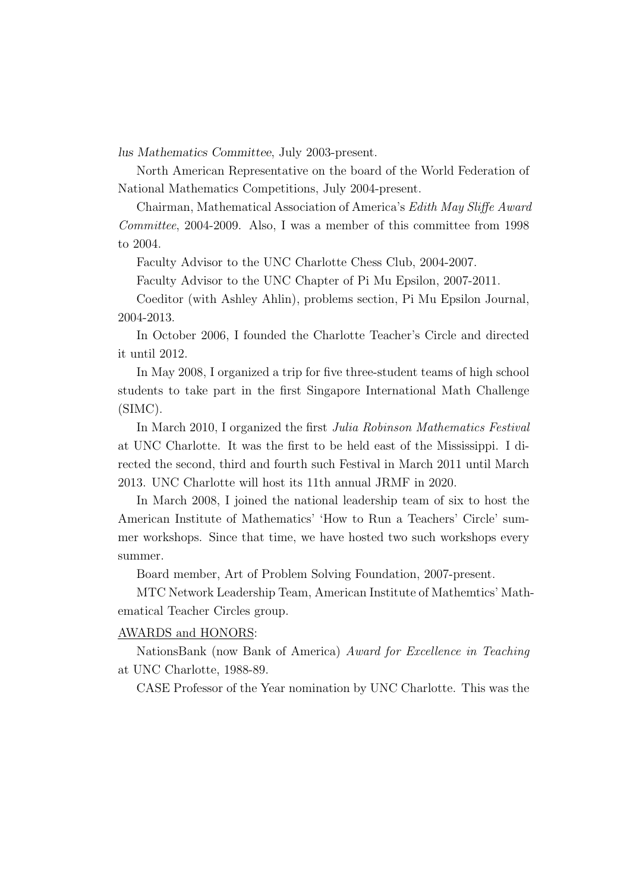lus Mathematics Committee, July 2003-present.

North American Representative on the board of the World Federation of National Mathematics Competitions, July 2004-present.

Chairman, Mathematical Association of America's Edith May Sliffe Award Committee, 2004-2009. Also, I was a member of this committee from 1998 to 2004.

Faculty Advisor to the UNC Charlotte Chess Club, 2004-2007.

Faculty Advisor to the UNC Chapter of Pi Mu Epsilon, 2007-2011.

Coeditor (with Ashley Ahlin), problems section, Pi Mu Epsilon Journal, 2004-2013.

In October 2006, I founded the Charlotte Teacher's Circle and directed it until 2012.

In May 2008, I organized a trip for five three-student teams of high school students to take part in the first Singapore International Math Challenge (SIMC).

In March 2010, I organized the first Julia Robinson Mathematics Festival at UNC Charlotte. It was the first to be held east of the Mississippi. I directed the second, third and fourth such Festival in March 2011 until March 2013. UNC Charlotte will host its 11th annual JRMF in 2020.

In March 2008, I joined the national leadership team of six to host the American Institute of Mathematics' 'How to Run a Teachers' Circle' summer workshops. Since that time, we have hosted two such workshops every summer.

Board member, Art of Problem Solving Foundation, 2007-present.

MTC Network Leadership Team, American Institute of Mathemtics' Mathematical Teacher Circles group.

AWARDS and HONORS:

NationsBank (now Bank of America) Award for Excellence in Teaching at UNC Charlotte, 1988-89.

CASE Professor of the Year nomination by UNC Charlotte. This was the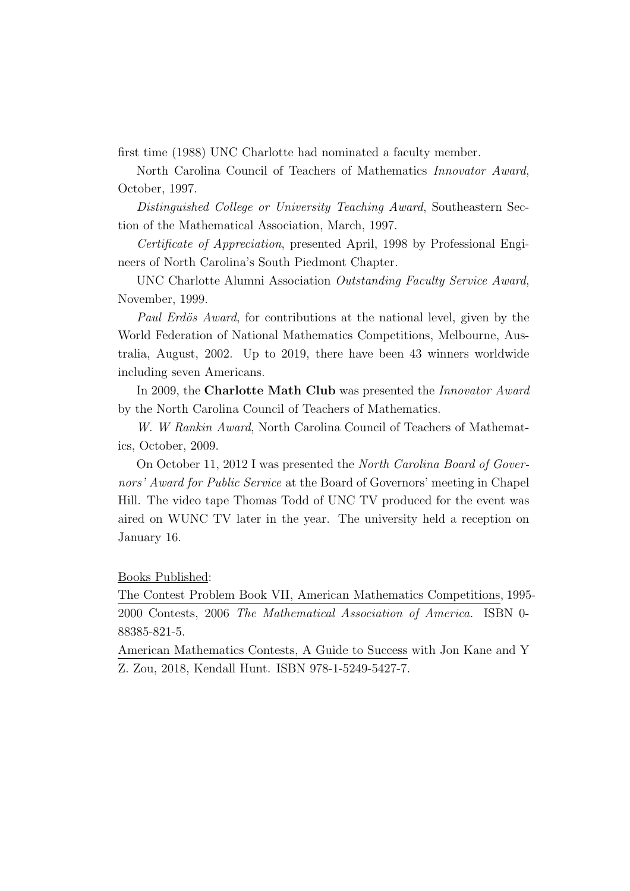first time (1988) UNC Charlotte had nominated a faculty member.

North Carolina Council of Teachers of Mathematics Innovator Award, October, 1997.

Distinguished College or University Teaching Award, Southeastern Section of the Mathematical Association, March, 1997.

Certificate of Appreciation, presented April, 1998 by Professional Engineers of North Carolina's South Piedmont Chapter.

UNC Charlotte Alumni Association Outstanding Faculty Service Award, November, 1999.

Paul Erdös Award, for contributions at the national level, given by the World Federation of National Mathematics Competitions, Melbourne, Australia, August, 2002. Up to 2019, there have been 43 winners worldwide including seven Americans.

In 2009, the **Charlotte Math Club** was presented the *Innovator Award* by the North Carolina Council of Teachers of Mathematics.

W. W Rankin Award, North Carolina Council of Teachers of Mathematics, October, 2009.

On October 11, 2012 I was presented the North Carolina Board of Governors' Award for Public Service at the Board of Governors' meeting in Chapel Hill. The video tape Thomas Todd of UNC TV produced for the event was aired on WUNC TV later in the year. The university held a reception on January 16.

Books Published:

The Contest Problem Book VII, American Mathematics Competitions, 1995- 2000 Contests, 2006 The Mathematical Association of America. ISBN 0- 88385-821-5.

American Mathematics Contests, A Guide to Success with Jon Kane and Y Z. Zou, 2018, Kendall Hunt. ISBN 978-1-5249-5427-7.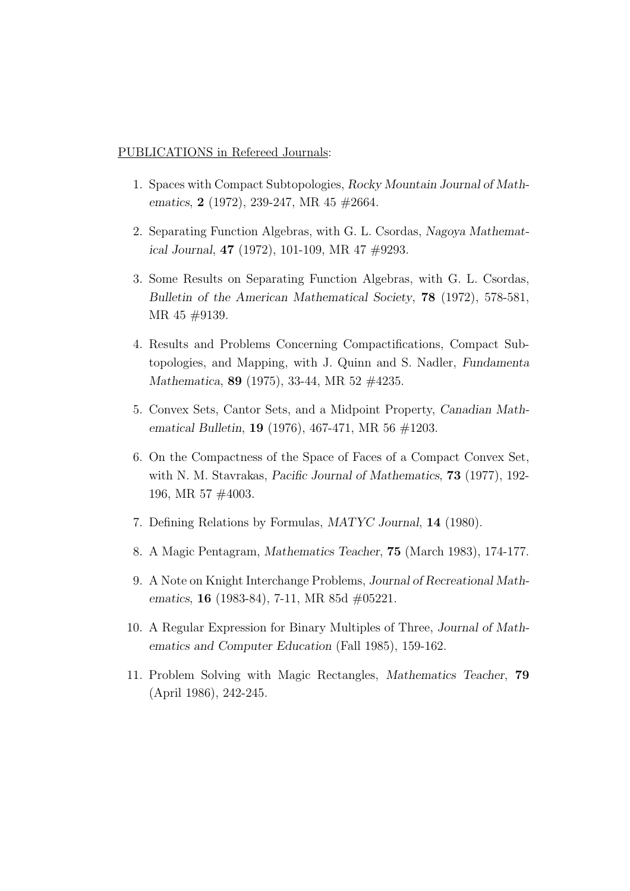#### PUBLICATIONS in Refereed Journals:

- 1. Spaces with Compact Subtopologies, Rocky Mountain Journal of Mathematics, 2 (1972), 239-247, MR 45 #2664.
- 2. Separating Function Algebras, with G. L. Csordas, Nagoya Mathematical Journal, 47 (1972), 101-109, MR 47 #9293.
- 3. Some Results on Separating Function Algebras, with G. L. Csordas, Bulletin of the American Mathematical Society, 78 (1972), 578-581, MR 45 #9139.
- 4. Results and Problems Concerning Compactifications, Compact Subtopologies, and Mapping, with J. Quinn and S. Nadler, Fundamenta Mathematica, 89 (1975), 33-44, MR 52 #4235.
- 5. Convex Sets, Cantor Sets, and a Midpoint Property, Canadian Mathematical Bulletin, 19 (1976), 467-471, MR 56 #1203.
- 6. On the Compactness of the Space of Faces of a Compact Convex Set, with N. M. Stavrakas, Pacific Journal of Mathematics, 73 (1977), 192- 196, MR 57 #4003.
- 7. Defining Relations by Formulas, MATYC Journal, 14 (1980).
- 8. A Magic Pentagram, Mathematics Teacher, 75 (March 1983), 174-177.
- 9. A Note on Knight Interchange Problems, Journal of Recreational Mathematics, **16** (1983-84), 7-11, MR 85d #05221.
- 10. A Regular Expression for Binary Multiples of Three, Journal of Mathematics and Computer Education (Fall 1985), 159-162.
- 11. Problem Solving with Magic Rectangles, Mathematics Teacher, 79 (April 1986), 242-245.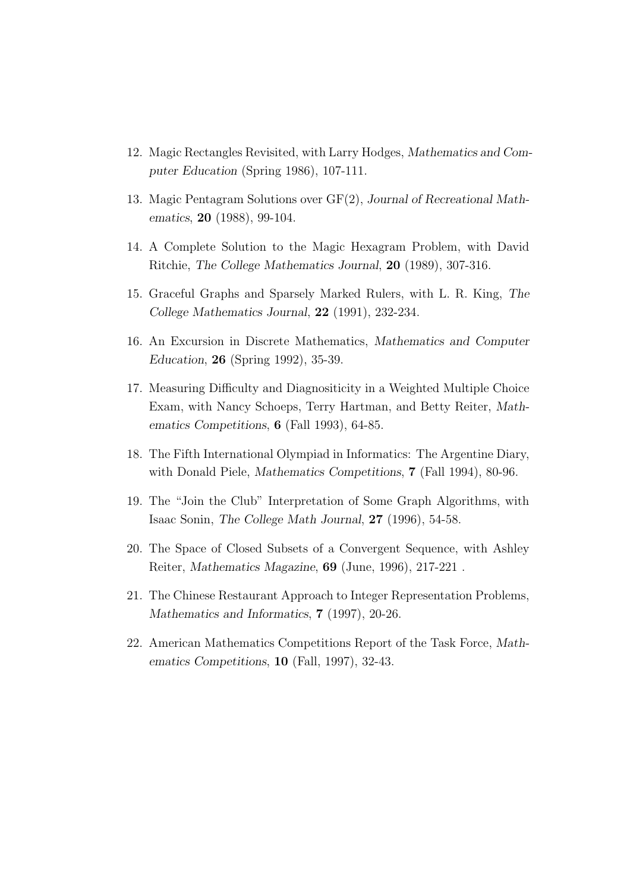- 12. Magic Rectangles Revisited, with Larry Hodges, Mathematics and Computer Education (Spring 1986), 107-111.
- 13. Magic Pentagram Solutions over GF(2), Journal of Recreational Mathematics, 20 (1988), 99-104.
- 14. A Complete Solution to the Magic Hexagram Problem, with David Ritchie, The College Mathematics Journal, 20 (1989), 307-316.
- 15. Graceful Graphs and Sparsely Marked Rulers, with L. R. King, The College Mathematics Journal, 22 (1991), 232-234.
- 16. An Excursion in Discrete Mathematics, Mathematics and Computer Education, 26 (Spring 1992), 35-39.
- 17. Measuring Difficulty and Diagnositicity in a Weighted Multiple Choice Exam, with Nancy Schoeps, Terry Hartman, and Betty Reiter, Mathematics Competitions, 6 (Fall 1993), 64-85.
- 18. The Fifth International Olympiad in Informatics: The Argentine Diary, with Donald Piele, Mathematics Competitions, 7 (Fall 1994), 80-96.
- 19. The "Join the Club" Interpretation of Some Graph Algorithms, with Isaac Sonin, The College Math Journal, 27 (1996), 54-58.
- 20. The Space of Closed Subsets of a Convergent Sequence, with Ashley Reiter, Mathematics Magazine, 69 (June, 1996), 217-221 .
- 21. The Chinese Restaurant Approach to Integer Representation Problems, Mathematics and Informatics, **7** (1997), 20-26.
- 22. American Mathematics Competitions Report of the Task Force, Mathematics Competitions, 10 (Fall, 1997), 32-43.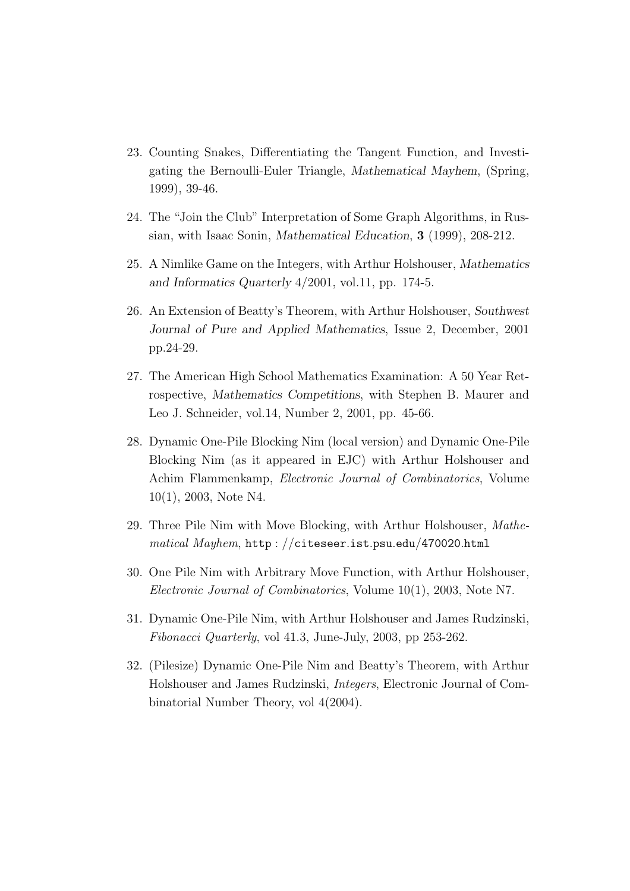- 23. Counting Snakes, Differentiating the Tangent Function, and Investigating the Bernoulli-Euler Triangle, Mathematical Mayhem, (Spring, 1999), 39-46.
- 24. The "Join the Club" Interpretation of Some Graph Algorithms, in Russian, with Isaac Sonin, Mathematical Education, 3 (1999), 208-212.
- 25. A Nimlike Game on the Integers, with Arthur Holshouser, Mathematics and Informatics Quarterly 4/2001, vol.11, pp. 174-5.
- 26. An Extension of Beatty's Theorem, with Arthur Holshouser, Southwest Journal of Pure and Applied Mathematics, Issue 2, December, 2001 pp.24-29.
- 27. The American High School Mathematics Examination: A 50 Year Retrospective, Mathematics Competitions, with Stephen B. Maurer and Leo J. Schneider, vol.14, Number 2, 2001, pp. 45-66.
- 28. Dynamic One-Pile Blocking Nim (local version) and Dynamic One-Pile Blocking Nim (as it appeared in EJC) with Arthur Holshouser and Achim Flammenkamp, Electronic Journal of Combinatorics, Volume 10(1), 2003, Note N4.
- 29. Three Pile Nim with Move Blocking, with Arthur Holshouser, Mathematical Mayhem, http : //citeseer.ist.psu.edu/470020.html
- 30. One Pile Nim with Arbitrary Move Function, with Arthur Holshouser, Electronic Journal of Combinatorics, Volume 10(1), 2003, Note N7.
- 31. Dynamic One-Pile Nim, with Arthur Holshouser and James Rudzinski, Fibonacci Quarterly, vol 41.3, June-July, 2003, pp 253-262.
- 32. (Pilesize) Dynamic One-Pile Nim and Beatty's Theorem, with Arthur Holshouser and James Rudzinski, Integers, Electronic Journal of Combinatorial Number Theory, vol 4(2004).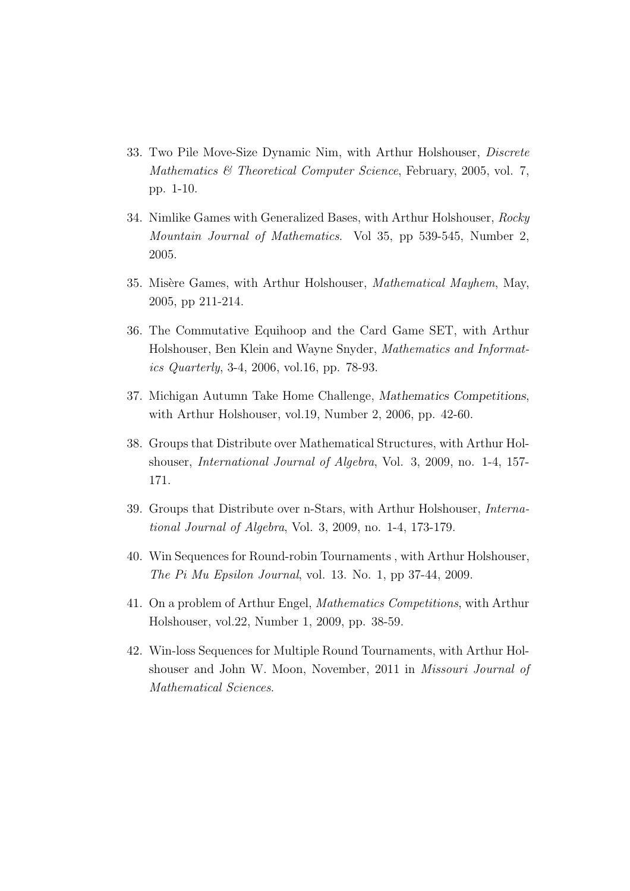- 33. Two Pile Move-Size Dynamic Nim, with Arthur Holshouser, Discrete Mathematics & Theoretical Computer Science, February, 2005, vol. 7, pp. 1-10.
- 34. Nimlike Games with Generalized Bases, with Arthur Holshouser, Rocky Mountain Journal of Mathematics. Vol 35, pp 539-545, Number 2, 2005.
- 35. Misère Games, with Arthur Holshouser, *Mathematical Mayhem*, May, 2005, pp 211-214.
- 36. The Commutative Equihoop and the Card Game SET, with Arthur Holshouser, Ben Klein and Wayne Snyder, Mathematics and Informatics Quarterly, 3-4, 2006, vol.16, pp. 78-93.
- 37. Michigan Autumn Take Home Challenge, Mathematics Competitions, with Arthur Holshouser, vol.19, Number 2, 2006, pp. 42-60.
- 38. Groups that Distribute over Mathematical Structures, with Arthur Holshouser, International Journal of Algebra, Vol. 3, 2009, no. 1-4, 157- 171.
- 39. Groups that Distribute over n-Stars, with Arthur Holshouser, International Journal of Algebra, Vol. 3, 2009, no. 1-4, 173-179.
- 40. Win Sequences for Round-robin Tournaments , with Arthur Holshouser, The Pi Mu Epsilon Journal, vol. 13. No. 1, pp 37-44, 2009.
- 41. On a problem of Arthur Engel, Mathematics Competitions, with Arthur Holshouser, vol.22, Number 1, 2009, pp. 38-59.
- 42. Win-loss Sequences for Multiple Round Tournaments, with Arthur Holshouser and John W. Moon, November, 2011 in Missouri Journal of Mathematical Sciences.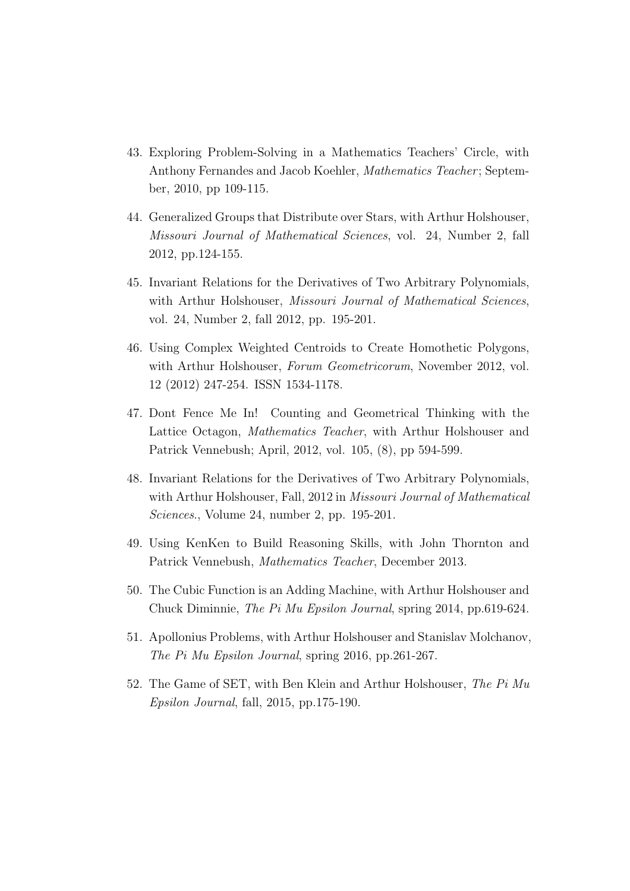- 43. Exploring Problem-Solving in a Mathematics Teachers' Circle, with Anthony Fernandes and Jacob Koehler, Mathematics Teacher; September, 2010, pp 109-115.
- 44. Generalized Groups that Distribute over Stars, with Arthur Holshouser, Missouri Journal of Mathematical Sciences, vol. 24, Number 2, fall 2012, pp.124-155.
- 45. Invariant Relations for the Derivatives of Two Arbitrary Polynomials, with Arthur Holshouser, Missouri Journal of Mathematical Sciences, vol. 24, Number 2, fall 2012, pp. 195-201.
- 46. Using Complex Weighted Centroids to Create Homothetic Polygons, with Arthur Holshouser, Forum Geometricorum, November 2012, vol. 12 (2012) 247-254. ISSN 1534-1178.
- 47. Dont Fence Me In! Counting and Geometrical Thinking with the Lattice Octagon, Mathematics Teacher, with Arthur Holshouser and Patrick Vennebush; April, 2012, vol. 105, (8), pp 594-599.
- 48. Invariant Relations for the Derivatives of Two Arbitrary Polynomials, with Arthur Holshouser, Fall, 2012 in Missouri Journal of Mathematical Sciences., Volume 24, number 2, pp. 195-201.
- 49. Using KenKen to Build Reasoning Skills, with John Thornton and Patrick Vennebush, Mathematics Teacher, December 2013.
- 50. The Cubic Function is an Adding Machine, with Arthur Holshouser and Chuck Diminnie, The Pi Mu Epsilon Journal, spring 2014, pp.619-624.
- 51. Apollonius Problems, with Arthur Holshouser and Stanislav Molchanov, The Pi Mu Epsilon Journal, spring 2016, pp.261-267.
- 52. The Game of SET, with Ben Klein and Arthur Holshouser, The Pi Mu Epsilon Journal, fall, 2015, pp.175-190.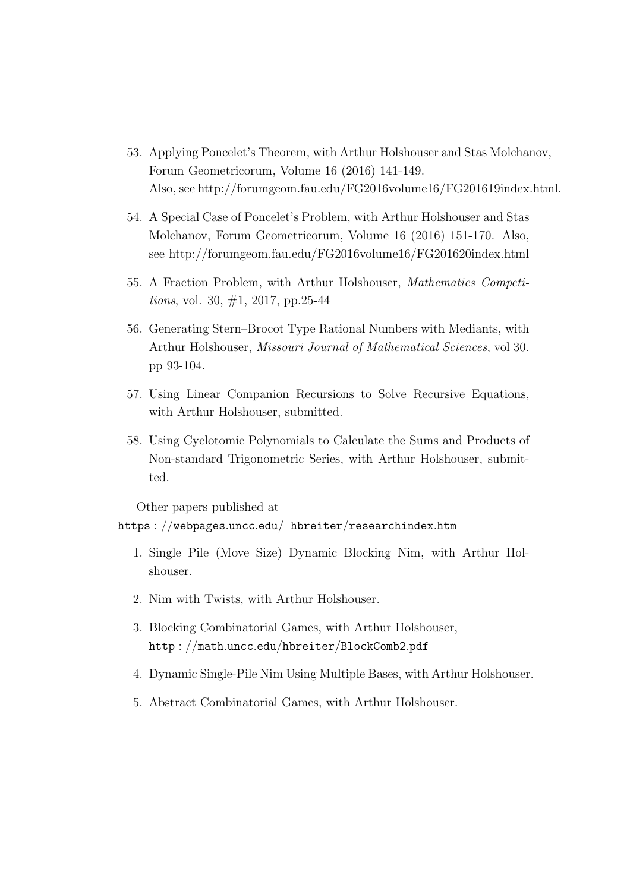- 53. Applying Poncelet's Theorem, with Arthur Holshouser and Stas Molchanov, Forum Geometricorum, Volume 16 (2016) 141-149. Also, see http://forumgeom.fau.edu/FG2016volume16/FG201619index.html.
- 54. A Special Case of Poncelet's Problem, with Arthur Holshouser and Stas Molchanov, Forum Geometricorum, Volume 16 (2016) 151-170. Also, see http://forumgeom.fau.edu/FG2016volume16/FG201620index.html
- 55. A Fraction Problem, with Arthur Holshouser, Mathematics Competitions, vol. 30, #1, 2017, pp.25-44
- 56. Generating Stern–Brocot Type Rational Numbers with Mediants, with Arthur Holshouser, Missouri Journal of Mathematical Sciences, vol 30. pp 93-104.
- 57. Using Linear Companion Recursions to Solve Recursive Equations, with Arthur Holshouser, submitted.
- 58. Using Cyclotomic Polynomials to Calculate the Sums and Products of Non-standard Trigonometric Series, with Arthur Holshouser, submitted.

Other papers published at https : //webpages.uncc.edu/ hbreiter/researchindex.htm

- 1. Single Pile (Move Size) Dynamic Blocking Nim, with Arthur Holshouser.
- 2. Nim with Twists, with Arthur Holshouser.
- 3. Blocking Combinatorial Games, with Arthur Holshouser, http : //math.uncc.edu/hbreiter/BlockComb2.pdf
- 4. Dynamic Single-Pile Nim Using Multiple Bases, with Arthur Holshouser.
- 5. Abstract Combinatorial Games, with Arthur Holshouser.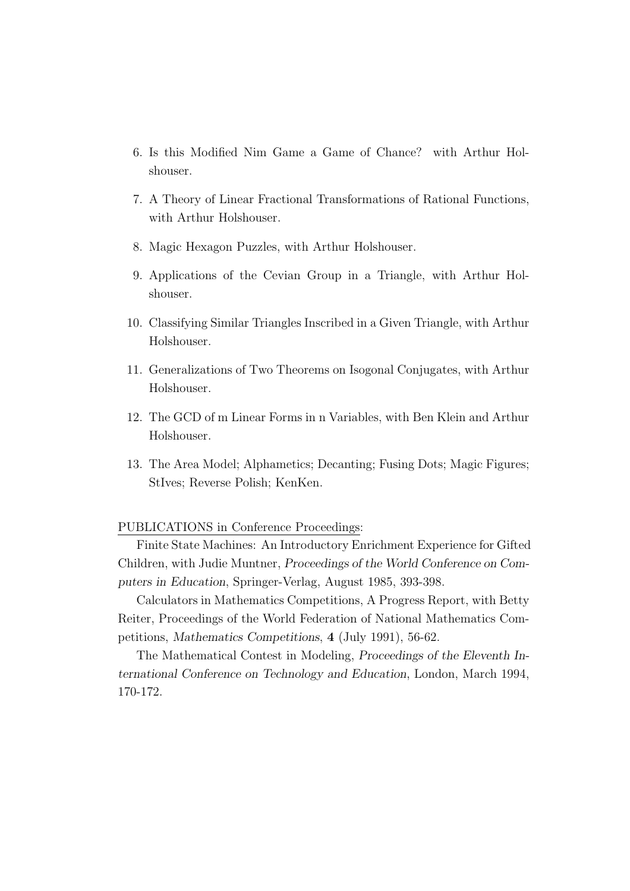- 6. Is this Modified Nim Game a Game of Chance? with Arthur Holshouser.
- 7. A Theory of Linear Fractional Transformations of Rational Functions, with Arthur Holshouser.
- 8. Magic Hexagon Puzzles, with Arthur Holshouser.
- 9. Applications of the Cevian Group in a Triangle, with Arthur Holshouser.
- 10. Classifying Similar Triangles Inscribed in a Given Triangle, with Arthur Holshouser.
- 11. Generalizations of Two Theorems on Isogonal Conjugates, with Arthur Holshouser.
- 12. The GCD of m Linear Forms in n Variables, with Ben Klein and Arthur Holshouser.
- 13. The Area Model; Alphametics; Decanting; Fusing Dots; Magic Figures; StIves; Reverse Polish; KenKen.

## PUBLICATIONS in Conference Proceedings:

Finite State Machines: An Introductory Enrichment Experience for Gifted Children, with Judie Muntner, Proceedings of the World Conference on Computers in Education, Springer-Verlag, August 1985, 393-398.

Calculators in Mathematics Competitions, A Progress Report, with Betty Reiter, Proceedings of the World Federation of National Mathematics Competitions, Mathematics Competitions, 4 (July 1991), 56-62.

The Mathematical Contest in Modeling, Proceedings of the Eleventh International Conference on Technology and Education, London, March 1994, 170-172.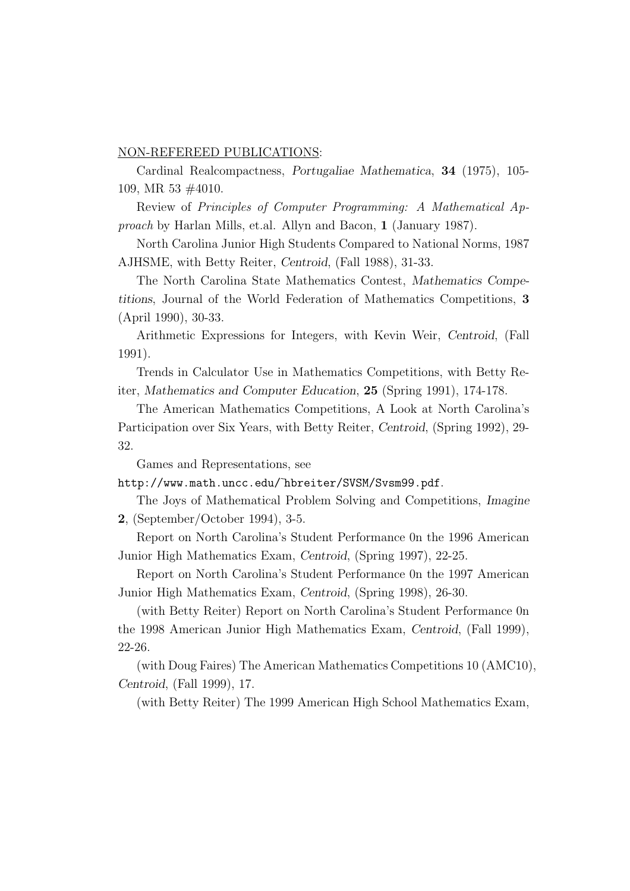#### NON-REFEREED PUBLICATIONS:

Cardinal Realcompactness, Portugaliae Mathematica, 34 (1975), 105- 109, MR 53 #4010.

Review of Principles of Computer Programming: A Mathematical Approach by Harlan Mills, et.al. Allyn and Bacon, 1 (January 1987).

North Carolina Junior High Students Compared to National Norms, 1987 AJHSME, with Betty Reiter, Centroid, (Fall 1988), 31-33.

The North Carolina State Mathematics Contest, Mathematics Competitions, Journal of the World Federation of Mathematics Competitions, 3 (April 1990), 30-33.

Arithmetic Expressions for Integers, with Kevin Weir, Centroid, (Fall 1991).

Trends in Calculator Use in Mathematics Competitions, with Betty Reiter, Mathematics and Computer Education, 25 (Spring 1991), 174-178.

The American Mathematics Competitions, A Look at North Carolina's Participation over Six Years, with Betty Reiter, Centroid, (Spring 1992), 29- 32.

Games and Representations, see

http://www.math.uncc.edu/˜hbreiter/SVSM/Svsm99.pdf.

The Joys of Mathematical Problem Solving and Competitions, Imagine 2, (September/October 1994), 3-5.

Report on North Carolina's Student Performance 0n the 1996 American Junior High Mathematics Exam, Centroid, (Spring 1997), 22-25.

Report on North Carolina's Student Performance 0n the 1997 American Junior High Mathematics Exam, Centroid, (Spring 1998), 26-30.

(with Betty Reiter) Report on North Carolina's Student Performance 0n the 1998 American Junior High Mathematics Exam, Centroid, (Fall 1999), 22-26.

(with Doug Faires) The American Mathematics Competitions 10 (AMC10), Centroid, (Fall 1999), 17.

(with Betty Reiter) The 1999 American High School Mathematics Exam,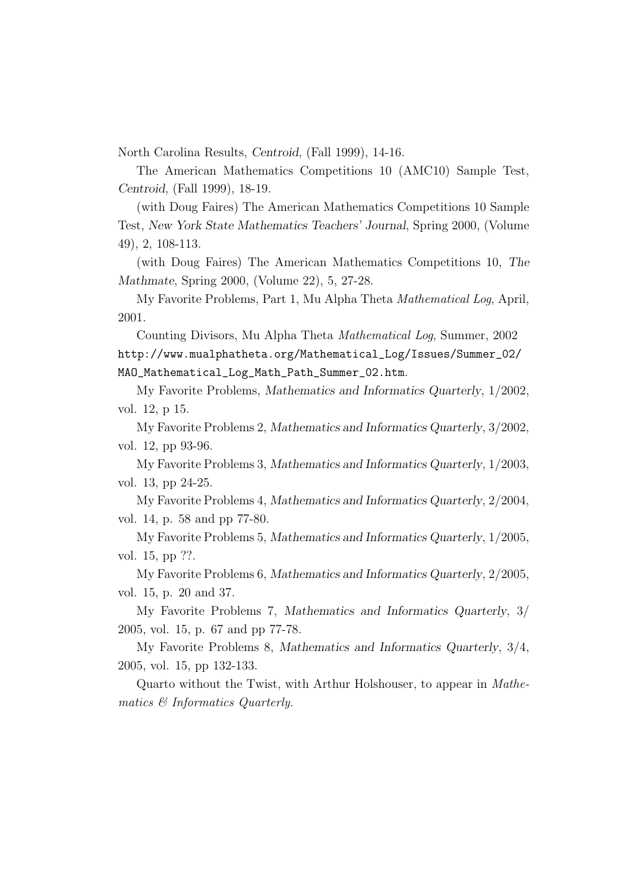North Carolina Results, Centroid, (Fall 1999), 14-16.

The American Mathematics Competitions 10 (AMC10) Sample Test, Centroid, (Fall 1999), 18-19.

(with Doug Faires) The American Mathematics Competitions 10 Sample Test, New York State Mathematics Teachers' Journal, Spring 2000, (Volume 49), 2, 108-113.

(with Doug Faires) The American Mathematics Competitions 10, The Mathmate, Spring 2000, (Volume 22), 5, 27-28.

My Favorite Problems, Part 1, Mu Alpha Theta Mathematical Log, April, 2001.

Counting Divisors, Mu Alpha Theta Mathematical Log, Summer, 2002 http://www.mualphatheta.org/Mathematical\_Log/Issues/Summer\_02/ MAO\_Mathematical\_Log\_Math\_Path\_Summer\_02.htm.

My Favorite Problems, Mathematics and Informatics Quarterly, 1/2002, vol. 12, p 15.

My Favorite Problems 2, Mathematics and Informatics Quarterly, 3/2002, vol. 12, pp 93-96.

My Favorite Problems 3, Mathematics and Informatics Quarterly, 1/2003, vol. 13, pp 24-25.

My Favorite Problems 4, Mathematics and Informatics Quarterly, 2/2004, vol. 14, p. 58 and pp 77-80.

My Favorite Problems 5, Mathematics and Informatics Quarterly, 1/2005, vol. 15, pp ??.

My Favorite Problems 6, Mathematics and Informatics Quarterly, 2/2005, vol. 15, p. 20 and 37.

My Favorite Problems 7, Mathematics and Informatics Quarterly, 3/ 2005, vol. 15, p. 67 and pp 77-78.

My Favorite Problems 8, Mathematics and Informatics Quarterly, 3/4, 2005, vol. 15, pp 132-133.

Quarto without the Twist, with Arthur Holshouser, to appear in Mathematics & Informatics Quarterly.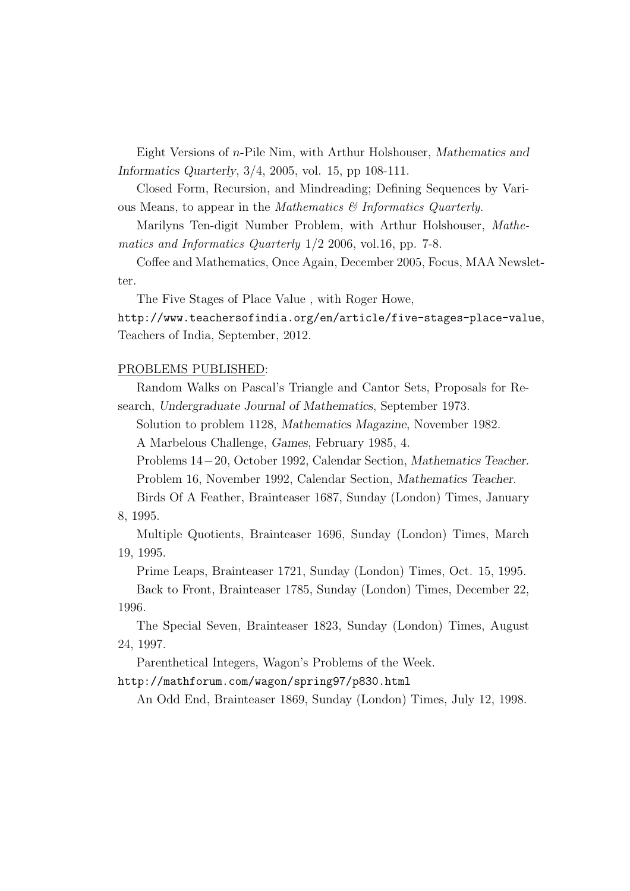Eight Versions of n-Pile Nim, with Arthur Holshouser, Mathematics and Informatics Quarterly, 3/4, 2005, vol. 15, pp 108-111.

Closed Form, Recursion, and Mindreading; Defining Sequences by Various Means, to appear in the Mathematics & Informatics Quarterly.

Marilyns Ten-digit Number Problem, with Arthur Holshouser, Mathematics and Informatics Quarterly 1/2 2006, vol.16, pp. 7-8.

Coffee and Mathematics, Once Again, December 2005, Focus, MAA Newsletter.

The Five Stages of Place Value , with Roger Howe,

http://www.teachersofindia.org/en/article/five-stages-place-value, Teachers of India, September, 2012.

## PROBLEMS PUBLISHED:

Random Walks on Pascal's Triangle and Cantor Sets, Proposals for Research, Undergraduate Journal of Mathematics, September 1973.

Solution to problem 1128, Mathematics Magazine, November 1982.

A Marbelous Challenge, Games, February 1985, 4.

Problems 14−20, October 1992, Calendar Section, Mathematics Teacher. Problem 16, November 1992, Calendar Section, Mathematics Teacher.

Birds Of A Feather, Brainteaser 1687, Sunday (London) Times, January 8, 1995.

Multiple Quotients, Brainteaser 1696, Sunday (London) Times, March 19, 1995.

Prime Leaps, Brainteaser 1721, Sunday (London) Times, Oct. 15, 1995. Back to Front, Brainteaser 1785, Sunday (London) Times, December 22, 1996.

The Special Seven, Brainteaser 1823, Sunday (London) Times, August 24, 1997.

Parenthetical Integers, Wagon's Problems of the Week.

## http://mathforum.com/wagon/spring97/p830.html

An Odd End, Brainteaser 1869, Sunday (London) Times, July 12, 1998.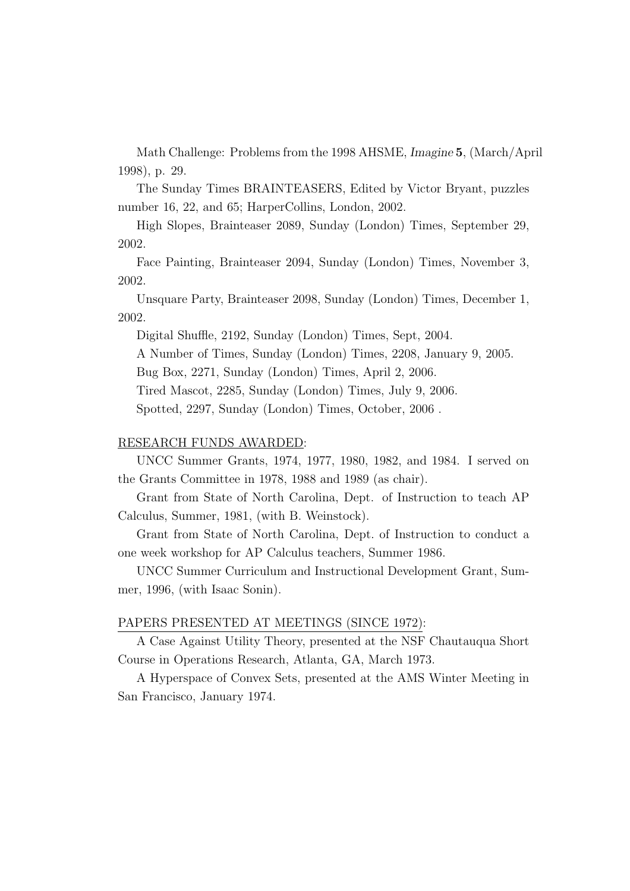Math Challenge: Problems from the 1998 AHSME, Imagine 5, (March/April 1998), p. 29.

The Sunday Times BRAINTEASERS, Edited by Victor Bryant, puzzles number 16, 22, and 65; HarperCollins, London, 2002.

High Slopes, Brainteaser 2089, Sunday (London) Times, September 29, 2002.

Face Painting, Brainteaser 2094, Sunday (London) Times, November 3, 2002.

Unsquare Party, Brainteaser 2098, Sunday (London) Times, December 1, 2002.

Digital Shuffle, 2192, Sunday (London) Times, Sept, 2004.

A Number of Times, Sunday (London) Times, 2208, January 9, 2005.

Bug Box, 2271, Sunday (London) Times, April 2, 2006.

Tired Mascot, 2285, Sunday (London) Times, July 9, 2006.

Spotted, 2297, Sunday (London) Times, October, 2006 .

## RESEARCH FUNDS AWARDED:

UNCC Summer Grants, 1974, 1977, 1980, 1982, and 1984. I served on the Grants Committee in 1978, 1988 and 1989 (as chair).

Grant from State of North Carolina, Dept. of Instruction to teach AP Calculus, Summer, 1981, (with B. Weinstock).

Grant from State of North Carolina, Dept. of Instruction to conduct a one week workshop for AP Calculus teachers, Summer 1986.

UNCC Summer Curriculum and Instructional Development Grant, Summer, 1996, (with Isaac Sonin).

### PAPERS PRESENTED AT MEETINGS (SINCE 1972):

A Case Against Utility Theory, presented at the NSF Chautauqua Short Course in Operations Research, Atlanta, GA, March 1973.

A Hyperspace of Convex Sets, presented at the AMS Winter Meeting in San Francisco, January 1974.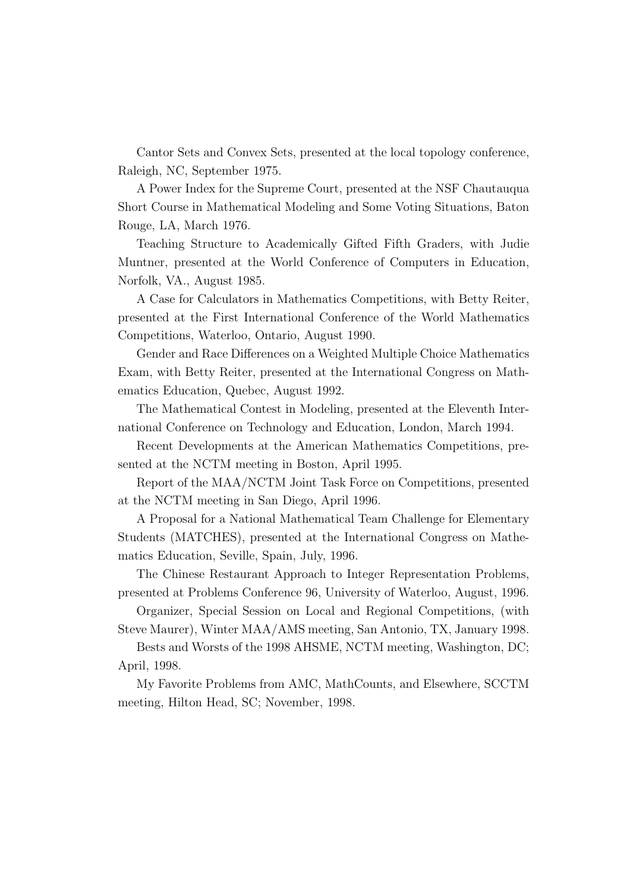Cantor Sets and Convex Sets, presented at the local topology conference, Raleigh, NC, September 1975.

A Power Index for the Supreme Court, presented at the NSF Chautauqua Short Course in Mathematical Modeling and Some Voting Situations, Baton Rouge, LA, March 1976.

Teaching Structure to Academically Gifted Fifth Graders, with Judie Muntner, presented at the World Conference of Computers in Education, Norfolk, VA., August 1985.

A Case for Calculators in Mathematics Competitions, with Betty Reiter, presented at the First International Conference of the World Mathematics Competitions, Waterloo, Ontario, August 1990.

Gender and Race Differences on a Weighted Multiple Choice Mathematics Exam, with Betty Reiter, presented at the International Congress on Mathematics Education, Quebec, August 1992.

The Mathematical Contest in Modeling, presented at the Eleventh International Conference on Technology and Education, London, March 1994.

Recent Developments at the American Mathematics Competitions, presented at the NCTM meeting in Boston, April 1995.

Report of the MAA/NCTM Joint Task Force on Competitions, presented at the NCTM meeting in San Diego, April 1996.

A Proposal for a National Mathematical Team Challenge for Elementary Students (MATCHES), presented at the International Congress on Mathematics Education, Seville, Spain, July, 1996.

The Chinese Restaurant Approach to Integer Representation Problems, presented at Problems Conference 96, University of Waterloo, August, 1996.

Organizer, Special Session on Local and Regional Competitions, (with Steve Maurer), Winter MAA/AMS meeting, San Antonio, TX, January 1998.

Bests and Worsts of the 1998 AHSME, NCTM meeting, Washington, DC; April, 1998.

My Favorite Problems from AMC, MathCounts, and Elsewhere, SCCTM meeting, Hilton Head, SC; November, 1998.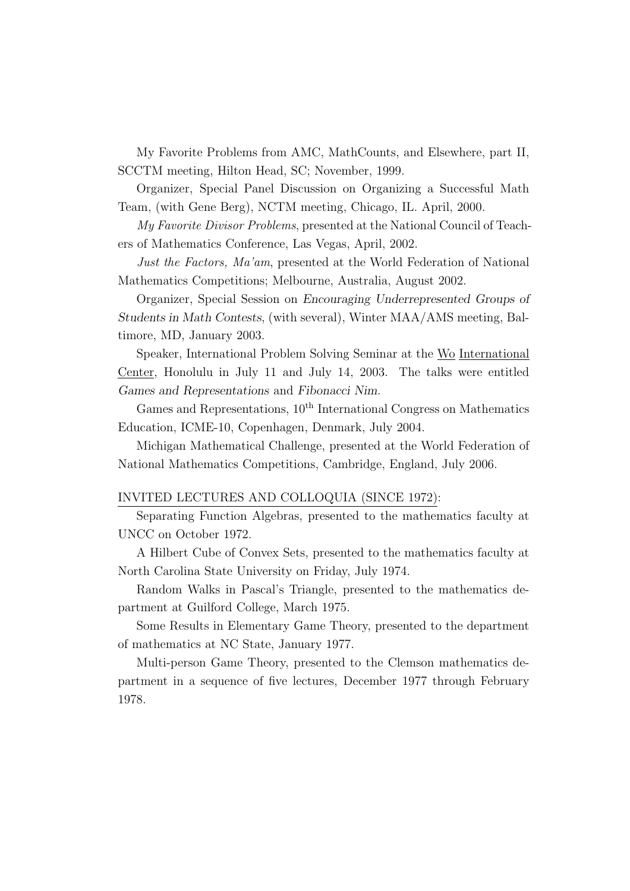My Favorite Problems from AMC, MathCounts, and Elsewhere, part II, SCCTM meeting, Hilton Head, SC; November, 1999.

Organizer, Special Panel Discussion on Organizing a Successful Math Team, (with Gene Berg), NCTM meeting, Chicago, IL. April, 2000.

My Favorite Divisor Problems, presented at the National Council of Teachers of Mathematics Conference, Las Vegas, April, 2002.

Just the Factors, Ma'am, presented at the World Federation of National Mathematics Competitions; Melbourne, Australia, August 2002.

Organizer, Special Session on Encouraging Underrepresented Groups of Students in Math Contests, (with several), Winter MAA/AMS meeting, Baltimore, MD, January 2003.

Speaker, International Problem Solving Seminar at the Wo International Center, Honolulu in July 11 and July 14, 2003. The talks were entitled Games and Representations and Fibonacci Nim.

Games and Representations,  $10<sup>th</sup>$  International Congress on Mathematics Education, ICME-10, Copenhagen, Denmark, July 2004.

Michigan Mathematical Challenge, presented at the World Federation of National Mathematics Competitions, Cambridge, England, July 2006.

#### INVITED LECTURES AND COLLOQUIA (SINCE 1972):

Separating Function Algebras, presented to the mathematics faculty at UNCC on October 1972.

A Hilbert Cube of Convex Sets, presented to the mathematics faculty at North Carolina State University on Friday, July 1974.

Random Walks in Pascal's Triangle, presented to the mathematics department at Guilford College, March 1975.

Some Results in Elementary Game Theory, presented to the department of mathematics at NC State, January 1977.

Multi-person Game Theory, presented to the Clemson mathematics department in a sequence of five lectures, December 1977 through February 1978.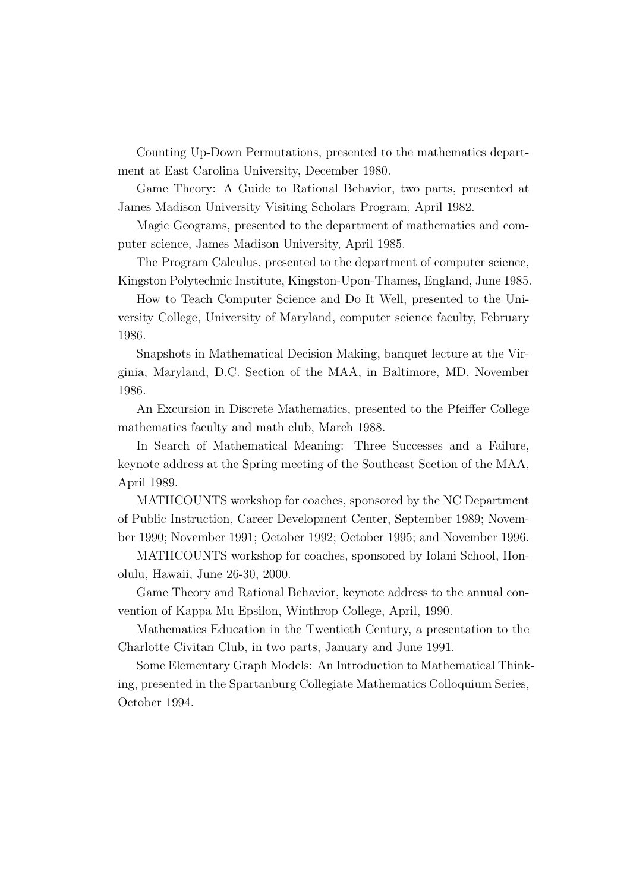Counting Up-Down Permutations, presented to the mathematics department at East Carolina University, December 1980.

Game Theory: A Guide to Rational Behavior, two parts, presented at James Madison University Visiting Scholars Program, April 1982.

Magic Geograms, presented to the department of mathematics and computer science, James Madison University, April 1985.

The Program Calculus, presented to the department of computer science, Kingston Polytechnic Institute, Kingston-Upon-Thames, England, June 1985.

How to Teach Computer Science and Do It Well, presented to the University College, University of Maryland, computer science faculty, February 1986.

Snapshots in Mathematical Decision Making, banquet lecture at the Virginia, Maryland, D.C. Section of the MAA, in Baltimore, MD, November 1986.

An Excursion in Discrete Mathematics, presented to the Pfeiffer College mathematics faculty and math club, March 1988.

In Search of Mathematical Meaning: Three Successes and a Failure, keynote address at the Spring meeting of the Southeast Section of the MAA, April 1989.

MATHCOUNTS workshop for coaches, sponsored by the NC Department of Public Instruction, Career Development Center, September 1989; November 1990; November 1991; October 1992; October 1995; and November 1996.

MATHCOUNTS workshop for coaches, sponsored by Iolani School, Honolulu, Hawaii, June 26-30, 2000.

Game Theory and Rational Behavior, keynote address to the annual convention of Kappa Mu Epsilon, Winthrop College, April, 1990.

Mathematics Education in the Twentieth Century, a presentation to the Charlotte Civitan Club, in two parts, January and June 1991.

Some Elementary Graph Models: An Introduction to Mathematical Thinking, presented in the Spartanburg Collegiate Mathematics Colloquium Series, October 1994.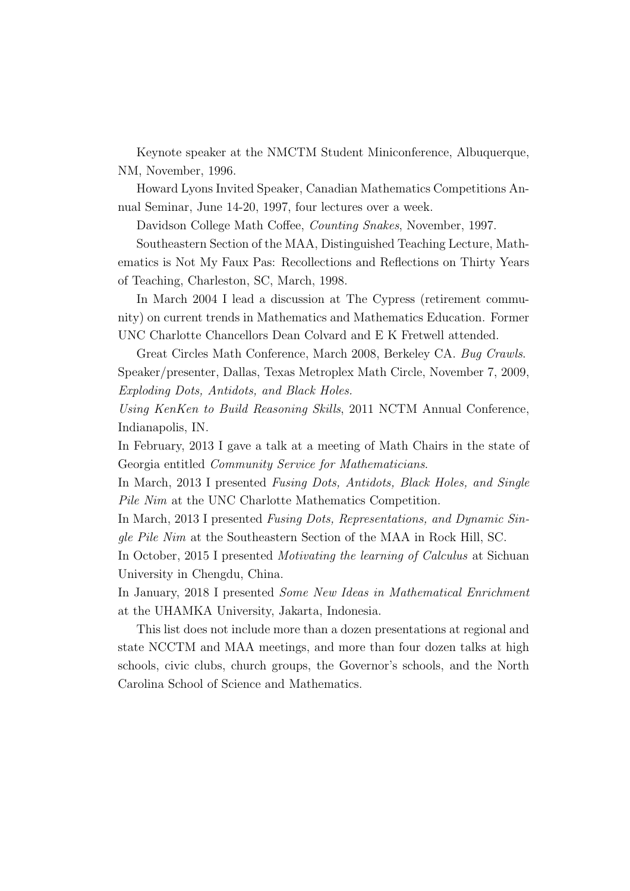Keynote speaker at the NMCTM Student Miniconference, Albuquerque, NM, November, 1996.

Howard Lyons Invited Speaker, Canadian Mathematics Competitions Annual Seminar, June 14-20, 1997, four lectures over a week.

Davidson College Math Coffee, Counting Snakes, November, 1997.

Southeastern Section of the MAA, Distinguished Teaching Lecture, Mathematics is Not My Faux Pas: Recollections and Reflections on Thirty Years of Teaching, Charleston, SC, March, 1998.

In March 2004 I lead a discussion at The Cypress (retirement community) on current trends in Mathematics and Mathematics Education. Former UNC Charlotte Chancellors Dean Colvard and E K Fretwell attended.

Great Circles Math Conference, March 2008, Berkeley CA. Bug Crawls. Speaker/presenter, Dallas, Texas Metroplex Math Circle, November 7, 2009, Exploding Dots, Antidots, and Black Holes.

Using KenKen to Build Reasoning Skills, 2011 NCTM Annual Conference, Indianapolis, IN.

In February, 2013 I gave a talk at a meeting of Math Chairs in the state of Georgia entitled Community Service for Mathematicians.

In March, 2013 I presented Fusing Dots, Antidots, Black Holes, and Single Pile Nim at the UNC Charlotte Mathematics Competition.

In March, 2013 I presented Fusing Dots, Representations, and Dynamic Single Pile Nim at the Southeastern Section of the MAA in Rock Hill, SC.

In October, 2015 I presented *Motivating the learning of Calculus* at Sichuan University in Chengdu, China.

In January, 2018 I presented Some New Ideas in Mathematical Enrichment at the UHAMKA University, Jakarta, Indonesia.

This list does not include more than a dozen presentations at regional and state NCCTM and MAA meetings, and more than four dozen talks at high schools, civic clubs, church groups, the Governor's schools, and the North Carolina School of Science and Mathematics.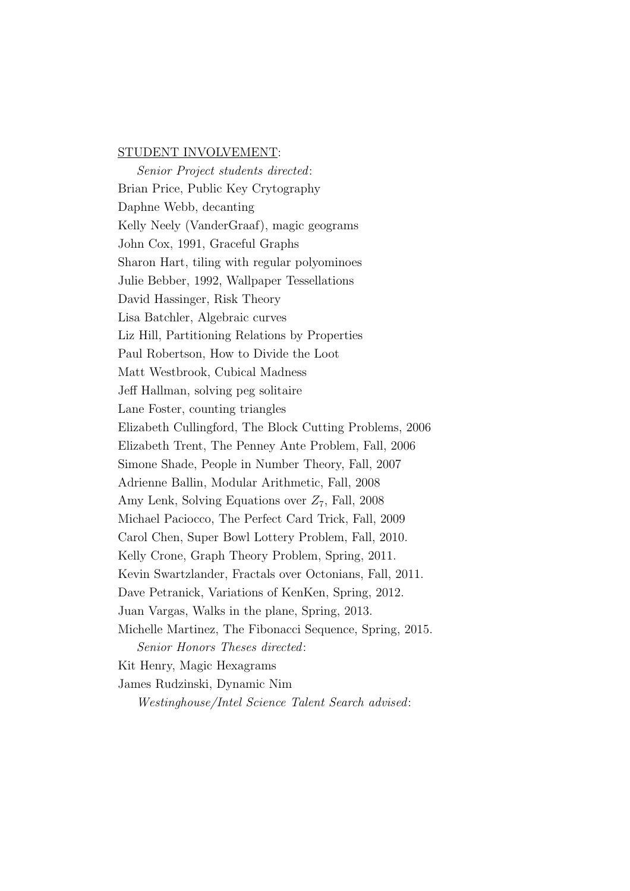#### STUDENT INVOLVEMENT:

Senior Project students directed: Brian Price, Public Key Crytography Daphne Webb, decanting Kelly Neely (VanderGraaf), magic geograms John Cox, 1991, Graceful Graphs Sharon Hart, tiling with regular polyominoes Julie Bebber, 1992, Wallpaper Tessellations David Hassinger, Risk Theory Lisa Batchler, Algebraic curves Liz Hill, Partitioning Relations by Properties Paul Robertson, How to Divide the Loot Matt Westbrook, Cubical Madness Jeff Hallman, solving peg solitaire Lane Foster, counting triangles Elizabeth Cullingford, The Block Cutting Problems, 2006 Elizabeth Trent, The Penney Ante Problem, Fall, 2006 Simone Shade, People in Number Theory, Fall, 2007 Adrienne Ballin, Modular Arithmetic, Fall, 2008 Amy Lenk, Solving Equations over  $Z_7$ , Fall, 2008 Michael Paciocco, The Perfect Card Trick, Fall, 2009 Carol Chen, Super Bowl Lottery Problem, Fall, 2010. Kelly Crone, Graph Theory Problem, Spring, 2011. Kevin Swartzlander, Fractals over Octonians, Fall, 2011. Dave Petranick, Variations of KenKen, Spring, 2012. Juan Vargas, Walks in the plane, Spring, 2013. Michelle Martinez, The Fibonacci Sequence, Spring, 2015. Senior Honors Theses directed: Kit Henry, Magic Hexagrams James Rudzinski, Dynamic Nim

Westinghouse/Intel Science Talent Search advised: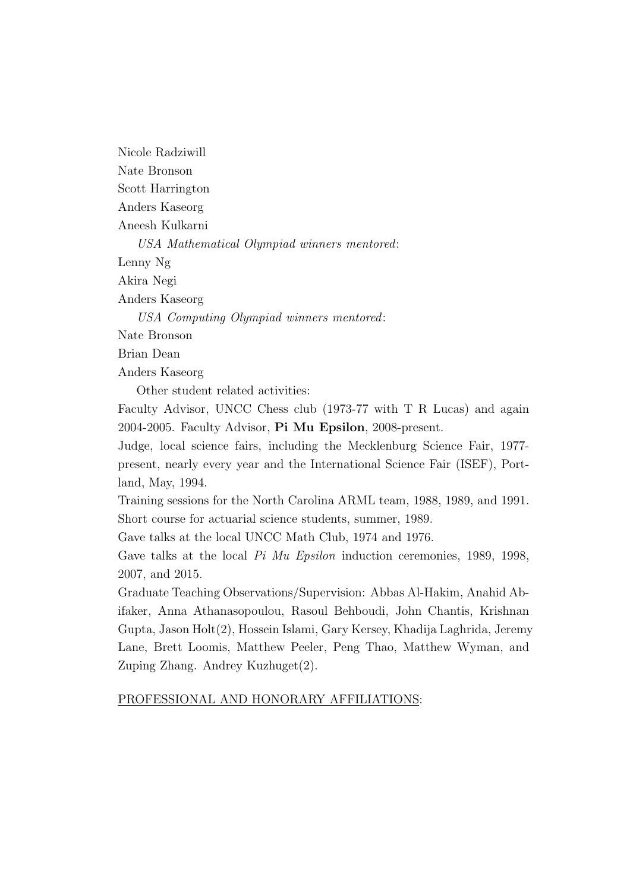Nicole Radziwill Nate Bronson Scott Harrington Anders Kaseorg Aneesh Kulkarni USA Mathematical Olympiad winners mentored: Lenny Ng Akira Negi Anders Kaseorg USA Computing Olympiad winners mentored: Nate Bronson Brian Dean Anders Kaseorg

Other student related activities:

Faculty Advisor, UNCC Chess club (1973-77 with T R Lucas) and again 2004-2005. Faculty Advisor, Pi Mu Epsilon, 2008-present.

Judge, local science fairs, including the Mecklenburg Science Fair, 1977 present, nearly every year and the International Science Fair (ISEF), Portland, May, 1994.

Training sessions for the North Carolina ARML team, 1988, 1989, and 1991. Short course for actuarial science students, summer, 1989.

Gave talks at the local UNCC Math Club, 1974 and 1976.

Gave talks at the local *Pi Mu Epsilon* induction ceremonies, 1989, 1998, 2007, and 2015.

Graduate Teaching Observations/Supervision: Abbas Al-Hakim, Anahid Abifaker, Anna Athanasopoulou, Rasoul Behboudi, John Chantis, Krishnan Gupta, Jason Holt(2), Hossein Islami, Gary Kersey, Khadija Laghrida, Jeremy Lane, Brett Loomis, Matthew Peeler, Peng Thao, Matthew Wyman, and Zuping Zhang. Andrey Kuzhuget(2).

### PROFESSIONAL AND HONORARY AFFILIATIONS: